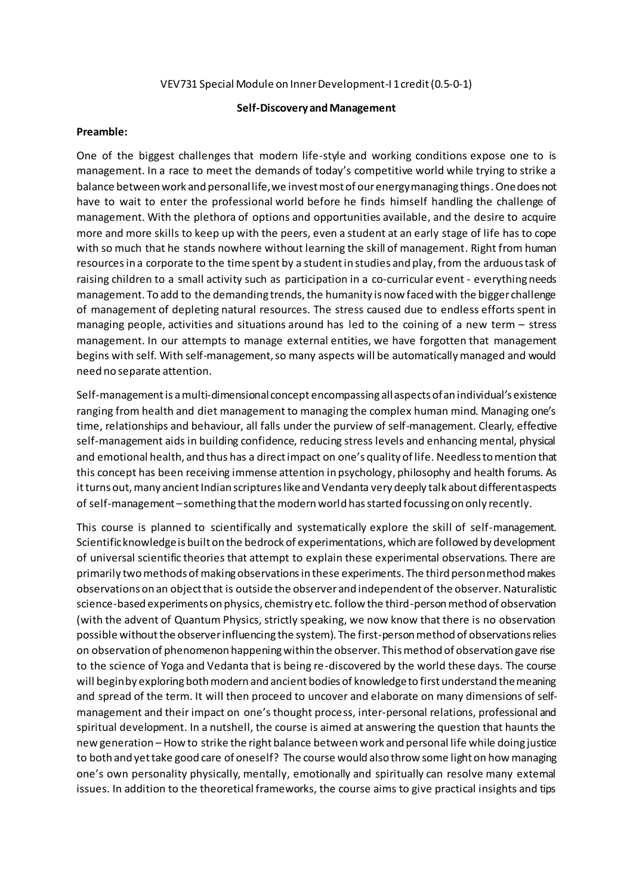#### VEV731 Special Module on Inner Development-I 1 credit (0.5-0-1)

### **Self-Discovery and Management**

#### **Preamble:**

One of the biggest challenges that modern life-style and working conditions expose one to is management. In a race to meet the demands of today's competitive world while trying to strike a balance between work and personal life, we invest most of our energy managing things. One does not have to wait to enter the professional world before he finds himself handling the challenge of management. With the plethora of options and opportunities available, and the desire to acquire more and more skills to keep up with the peers, even a student at an early stage of life has to cope with so much that he stands nowhere without learning the skill of management. Right from human resourcesin a corporate to the time spent by a student in studies and play, from the arduous task of raising children to a small activity such as participation in a co-curricular event - everything needs management. To add to the demanding trends, the humanity is now faced with the bigger challenge of management of depleting natural resources. The stress caused due to endless efforts spent in managing people, activities and situations around has led to the coining of a new term – stress management. In our attempts to manage external entities, we have forgotten that management begins with self. With self-management, so many aspects will be automatically managed and would need no separate attention.

Self-management is a multi-dimensional concept encompassing all aspects of an individual's existence ranging from health and diet management to managing the complex human mind. Managing one's time, relationships and behaviour, all falls under the purview of self-management. Clearly, effective self-management aids in building confidence, reducing stress levels and enhancing mental, physical and emotional health, and thus has a direct impact on one's quality of life. Needless to mention that this concept has been receiving immense attention in psychology, philosophy and health forums. As it turns out, many ancient Indian scriptures like and Vendanta very deeply talk about different aspects of self-management –something that the modern world has started focussing on only recently.

This course is planned to scientifically and systematically explore the skill of self-management. Scientific knowledge is built on the bedrock of experimentations, which are followed by development of universal scientific theories that attempt to explain these experimental observations. There are primarily two methods of making observations in these experiments. The third person method makes observations on an object that is outside the observer and independent of the observer. Naturalistic science-based experiments on physics, chemistry etc. follow the third-person method of observation (with the advent of Quantum Physics, strictly speaking, we now know that there is no observation possible without the observer influencing the system). The first-person method of observations relies on observation of phenomenon happening within the observer. This method of observation gave rise to the science of Yoga and Vedanta that is being re-discovered by the world these days. The course will begin by exploring both modern and ancient bodies of knowledge to first understand the meaning and spread of the term. It will then proceed to uncover and elaborate on many dimensions of selfmanagement and their impact on one's thought process, inter-personal relations, professional and spiritual development. In a nutshell, the course is aimed at answering the question that haunts the new generation – How to strike the right balance between work and personal life while doing justice to both and yet take good care of oneself? The course would also throw some light on how managing one's own personality physically, mentally, emotionally and spiritually can resolve many external issues. In addition to the theoretical frameworks, the course aims to give practical insights and tips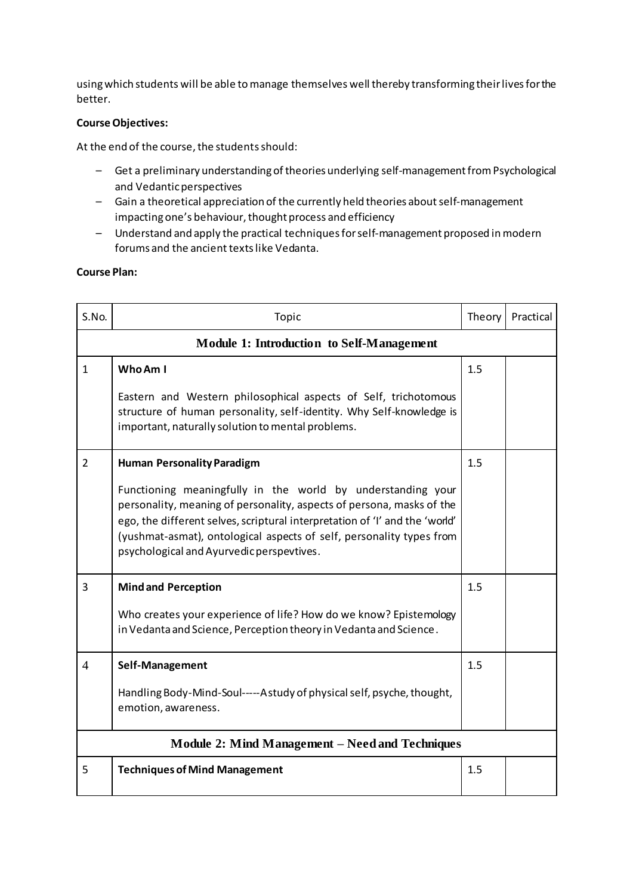using which students will be able to manage themselves well thereby transforming their lives for the better.

# **Course Objectives:**

At the end of the course, the students should:

- Get a preliminary understanding of theories underlying self-managementfrom Psychological and Vedantic perspectives
- Gain a theoretical appreciation of the currently held theories about self-management impacting one's behaviour, thought process and efficiency
- Understand and apply the practical techniquesfor self-management proposed in modern forums and the ancient texts like Vedanta.

## **Course Plan:**

| S.No.                                            | Topic                                                                                                                                                                                                                                                                                                                                    | Theory | Practical |  |
|--------------------------------------------------|------------------------------------------------------------------------------------------------------------------------------------------------------------------------------------------------------------------------------------------------------------------------------------------------------------------------------------------|--------|-----------|--|
| <b>Module 1: Introduction to Self-Management</b> |                                                                                                                                                                                                                                                                                                                                          |        |           |  |
| $\mathbf{1}$                                     | Who Am I                                                                                                                                                                                                                                                                                                                                 | 1.5    |           |  |
|                                                  | Eastern and Western philosophical aspects of Self, trichotomous<br>structure of human personality, self-identity. Why Self-knowledge is<br>important, naturally solution to mental problems.                                                                                                                                             |        |           |  |
| $\overline{2}$                                   | <b>Human Personality Paradigm</b>                                                                                                                                                                                                                                                                                                        | 1.5    |           |  |
|                                                  | Functioning meaningfully in the world by understanding your<br>personality, meaning of personality, aspects of persona, masks of the<br>ego, the different selves, scriptural interpretation of 'I' and the 'world'<br>(yushmat-asmat), ontological aspects of self, personality types from<br>psychological and Ayurvedic perspevtives. |        |           |  |
| 3                                                | <b>Mind and Perception</b>                                                                                                                                                                                                                                                                                                               | 1.5    |           |  |
|                                                  | Who creates your experience of life? How do we know? Epistemology<br>in Vedanta and Science, Perception theory in Vedanta and Science.                                                                                                                                                                                                   |        |           |  |
| $\overline{4}$                                   | Self-Management                                                                                                                                                                                                                                                                                                                          | 1.5    |           |  |
|                                                  | Handling Body-Mind-Soul-----Astudy of physical self, psyche, thought,<br>emotion, awareness.                                                                                                                                                                                                                                             |        |           |  |
| Module 2: Mind Management – Need and Techniques  |                                                                                                                                                                                                                                                                                                                                          |        |           |  |
| 5                                                | <b>Techniques of Mind Management</b>                                                                                                                                                                                                                                                                                                     | 1.5    |           |  |
|                                                  |                                                                                                                                                                                                                                                                                                                                          |        |           |  |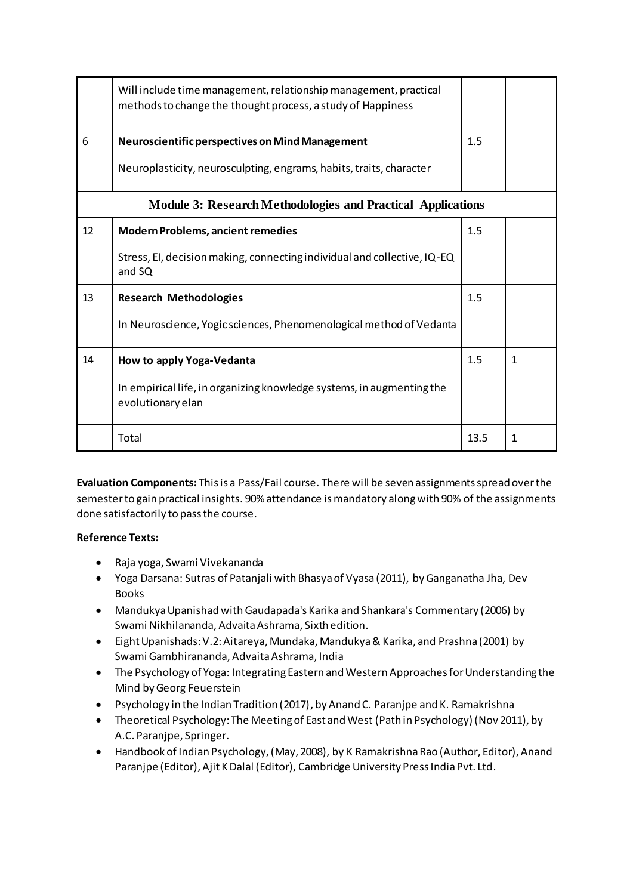|                                                                    | Will include time management, relationship management, practical<br>methods to change the thought process, a study of Happiness |      |   |  |  |
|--------------------------------------------------------------------|---------------------------------------------------------------------------------------------------------------------------------|------|---|--|--|
| 6                                                                  | Neuroscientific perspectives on Mind Management                                                                                 | 1.5  |   |  |  |
|                                                                    | Neuroplasticity, neurosculpting, engrams, habits, traits, character                                                             |      |   |  |  |
| <b>Module 3: Research Methodologies and Practical Applications</b> |                                                                                                                                 |      |   |  |  |
| 12                                                                 | <b>Modern Problems, ancient remedies</b>                                                                                        | 1.5  |   |  |  |
|                                                                    | Stress, EI, decision making, connecting individual and collective, IQ-EQ<br>and SQ                                              |      |   |  |  |
| 13                                                                 | <b>Research Methodologies</b>                                                                                                   | 1.5  |   |  |  |
|                                                                    | In Neuroscience, Yogic sciences, Phenomenological method of Vedanta                                                             |      |   |  |  |
| 14                                                                 | How to apply Yoga-Vedanta                                                                                                       | 1.5  | 1 |  |  |
|                                                                    | In empirical life, in organizing knowledge systems, in augmenting the<br>evolutionary elan                                      |      |   |  |  |
|                                                                    | Total                                                                                                                           | 13.5 | 1 |  |  |

**Evaluation Components:** This is a Pass/Fail course. There will be seven assignments spread over the semester to gain practical insights. 90% attendance is mandatory along with 90% of the assignments done satisfactorily to pass the course.

# **Reference Texts:**

- Raja yoga, Swami Vivekananda
- Yoga Darsana: Sutras of Patanjali with Bhasya of Vyasa (2011), by Ganganatha Jha, Dev Books
- Mandukya Upanishad with Gaudapada's Karika and Shankara's Commentary (2006) by Swami Nikhilananda, Advaita Ashrama, Sixth edition.
- Eight Upanishads: V.2: Aitareya, Mundaka, Mandukya & Karika, and Prashna (2001) by Swami Gambhirananda, Advaita Ashrama, India
- The Psychology of Yoga: Integrating Eastern and Western Approaches for Understanding the Mind by Georg Feuerstein
- Psychology in the Indian Tradition (2017), by Anand C. Paranjpe and K. Ramakrishna
- Theoretical Psychology: The Meeting of East and West (Path in Psychology) (Nov 2011), by A.C. Paranjpe, Springer.
- Handbook of Indian Psychology, (May, 2008), by K Ramakrishna Rao (Author, Editor), Anand Paranjpe (Editor), Ajit K Dalal (Editor), Cambridge University Press India Pvt. Ltd.